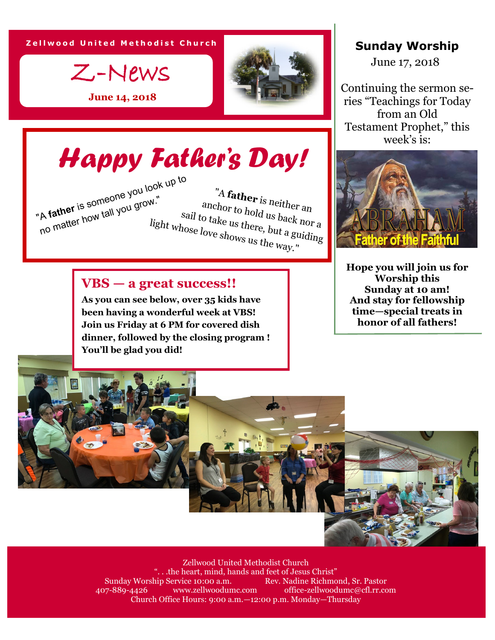**Zellwood United Methodist Church** 



**June 14, 2018**

## *Happy Father's Day!*

 "A **father** is neither an anchor to hold us back nor a sail to take us there, but a guiding light whose love shows us the way." "A **father** is someone you look up to no matter how tall you grow."

## **VBS — a great success!!**

**As you can see below, over 35 kids have been having a wonderful week at VBS! Join us Friday at 6 PM for covered dish dinner, followed by the closing program ! You'll be glad you did!**

## **Sunday Worship**

June 17, 2018

Continuing the sermon series "Teachings for Today from an Old Testament Prophet," this week's is:



**Hope you will join us for Worship this Sunday at 10 am! And stay for fellowship time—special treats in honor of all fathers!**